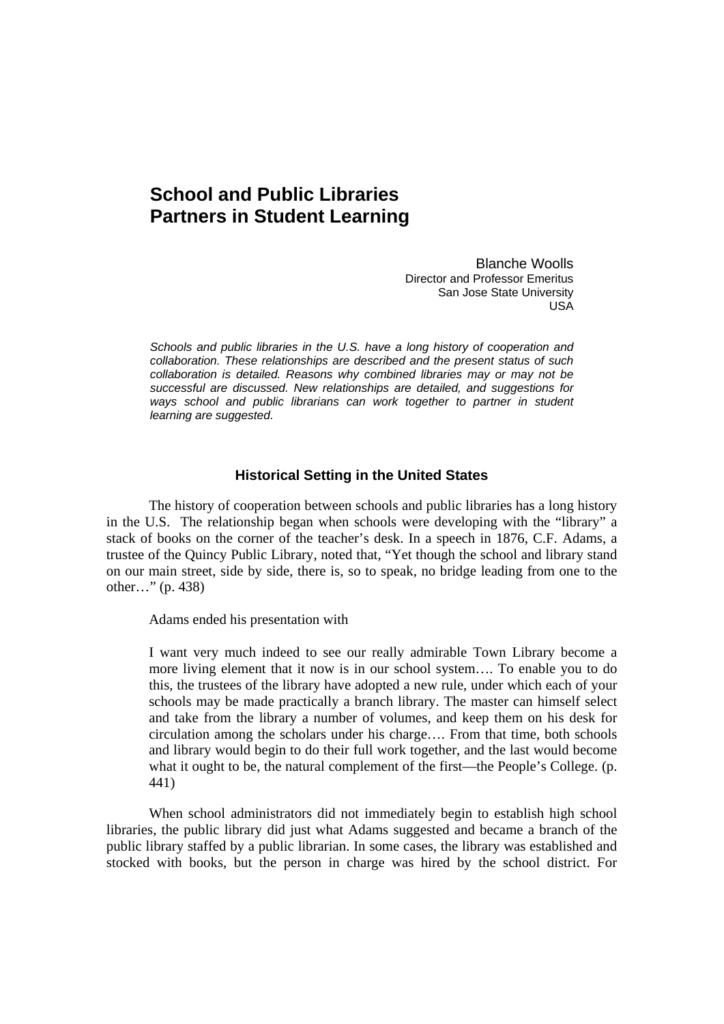# **School and Public Libraries Partners in Student Learning**

Blanche Woolls Director and Professor Emeritus San Jose State University USA

*Schools and public libraries in the U.S. have a long history of cooperation and collaboration. These relationships are described and the present status of such collaboration is detailed. Reasons why combined libraries may or may not be successful are discussed. New relationships are detailed, and suggestions for*  ways school and public librarians can work together to partner in student *learning are suggested.* 

# **Historical Setting in the United States**

The history of cooperation between schools and public libraries has a long history in the U.S. The relationship began when schools were developing with the "library" a stack of books on the corner of the teacher's desk. In a speech in 1876, C.F. Adams, a trustee of the Quincy Public Library, noted that, "Yet though the school and library stand on our main street, side by side, there is, so to speak, no bridge leading from one to the other…" (p. 438)

Adams ended his presentation with

I want very much indeed to see our really admirable Town Library become a more living element that it now is in our school system…. To enable you to do this, the trustees of the library have adopted a new rule, under which each of your schools may be made practically a branch library. The master can himself select and take from the library a number of volumes, and keep them on his desk for circulation among the scholars under his charge…. From that time, both schools and library would begin to do their full work together, and the last would become what it ought to be, the natural complement of the first—the People's College. (p. 441)

When school administrators did not immediately begin to establish high school libraries, the public library did just what Adams suggested and became a branch of the public library staffed by a public librarian. In some cases, the library was established and stocked with books, but the person in charge was hired by the school district. For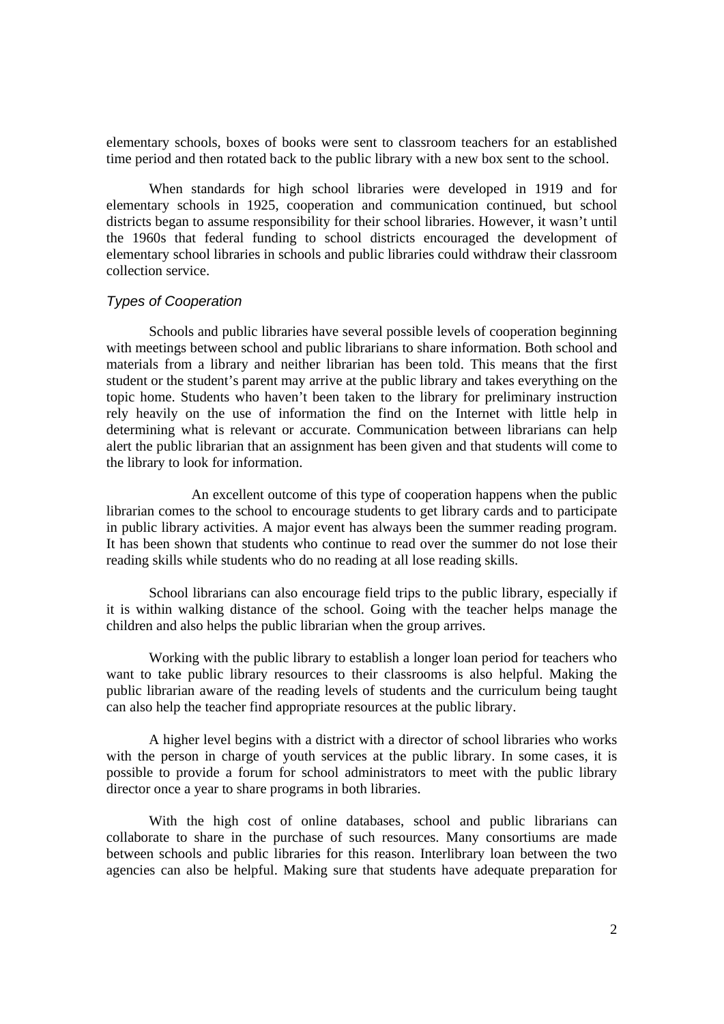elementary schools, boxes of books were sent to classroom teachers for an established time period and then rotated back to the public library with a new box sent to the school.

When standards for high school libraries were developed in 1919 and for elementary schools in 1925, cooperation and communication continued, but school districts began to assume responsibility for their school libraries. However, it wasn't until the 1960s that federal funding to school districts encouraged the development of elementary school libraries in schools and public libraries could withdraw their classroom collection service.

# *Types of Cooperation*

 Schools and public libraries have several possible levels of cooperation beginning with meetings between school and public librarians to share information. Both school and materials from a library and neither librarian has been told. This means that the first student or the student's parent may arrive at the public library and takes everything on the topic home. Students who haven't been taken to the library for preliminary instruction rely heavily on the use of information the find on the Internet with little help in determining what is relevant or accurate. Communication between librarians can help alert the public librarian that an assignment has been given and that students will come to the library to look for information.

 An excellent outcome of this type of cooperation happens when the public librarian comes to the school to encourage students to get library cards and to participate in public library activities. A major event has always been the summer reading program. It has been shown that students who continue to read over the summer do not lose their reading skills while students who do no reading at all lose reading skills.

 School librarians can also encourage field trips to the public library, especially if it is within walking distance of the school. Going with the teacher helps manage the children and also helps the public librarian when the group arrives.

 Working with the public library to establish a longer loan period for teachers who want to take public library resources to their classrooms is also helpful. Making the public librarian aware of the reading levels of students and the curriculum being taught can also help the teacher find appropriate resources at the public library.

 A higher level begins with a district with a director of school libraries who works with the person in charge of youth services at the public library. In some cases, it is possible to provide a forum for school administrators to meet with the public library director once a year to share programs in both libraries.

 With the high cost of online databases, school and public librarians can collaborate to share in the purchase of such resources. Many consortiums are made between schools and public libraries for this reason. Interlibrary loan between the two agencies can also be helpful. Making sure that students have adequate preparation for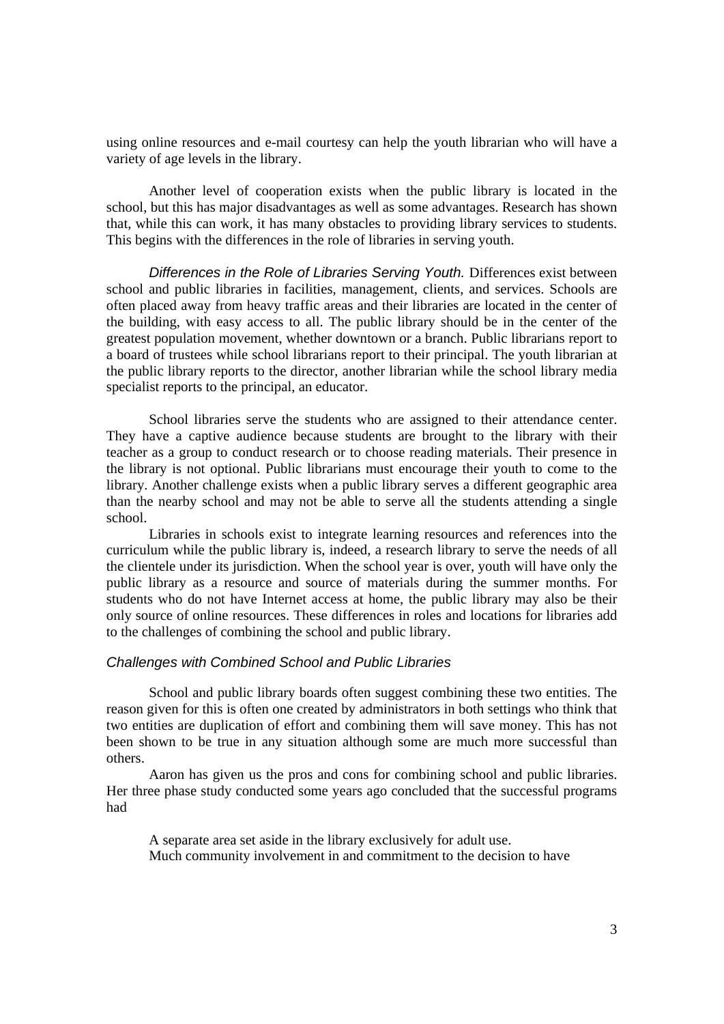using online resources and e-mail courtesy can help the youth librarian who will have a variety of age levels in the library.

Another level of cooperation exists when the public library is located in the school, but this has major disadvantages as well as some advantages. Research has shown that, while this can work, it has many obstacles to providing library services to students. This begins with the differences in the role of libraries in serving youth.

*Differences in the Role of Libraries Serving Youth.* Differences exist between school and public libraries in facilities, management, clients, and services. Schools are often placed away from heavy traffic areas and their libraries are located in the center of the building, with easy access to all. The public library should be in the center of the greatest population movement, whether downtown or a branch. Public librarians report to a board of trustees while school librarians report to their principal. The youth librarian at the public library reports to the director, another librarian while the school library media specialist reports to the principal, an educator.

 School libraries serve the students who are assigned to their attendance center. They have a captive audience because students are brought to the library with their teacher as a group to conduct research or to choose reading materials. Their presence in the library is not optional. Public librarians must encourage their youth to come to the library. Another challenge exists when a public library serves a different geographic area than the nearby school and may not be able to serve all the students attending a single school.

Libraries in schools exist to integrate learning resources and references into the curriculum while the public library is, indeed, a research library to serve the needs of all the clientele under its jurisdiction. When the school year is over, youth will have only the public library as a resource and source of materials during the summer months. For students who do not have Internet access at home, the public library may also be their only source of online resources. These differences in roles and locations for libraries add to the challenges of combining the school and public library.

#### *Challenges with Combined School and Public Libraries*

School and public library boards often suggest combining these two entities. The reason given for this is often one created by administrators in both settings who think that two entities are duplication of effort and combining them will save money. This has not been shown to be true in any situation although some are much more successful than others.

Aaron has given us the pros and cons for combining school and public libraries. Her three phase study conducted some years ago concluded that the successful programs had

 A separate area set aside in the library exclusively for adult use. Much community involvement in and commitment to the decision to have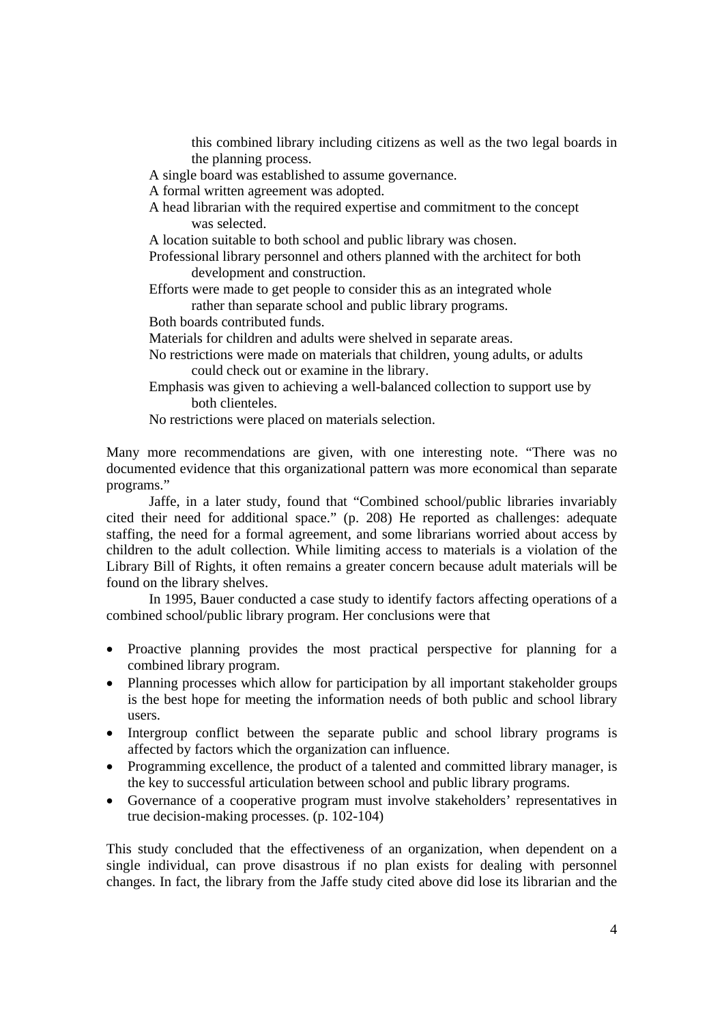this combined library including citizens as well as the two legal boards in the planning process.

A single board was established to assume governance.

A formal written agreement was adopted.

- A head librarian with the required expertise and commitment to the concept was selected.
- A location suitable to both school and public library was chosen.
- Professional library personnel and others planned with the architect for both development and construction.
- Efforts were made to get people to consider this as an integrated whole rather than separate school and public library programs.
- Both boards contributed funds.
- Materials for children and adults were shelved in separate areas.
- No restrictions were made on materials that children, young adults, or adults could check out or examine in the library.
- Emphasis was given to achieving a well-balanced collection to support use by both clienteles.
- No restrictions were placed on materials selection.

Many more recommendations are given, with one interesting note. "There was no documented evidence that this organizational pattern was more economical than separate programs."

 Jaffe, in a later study, found that "Combined school/public libraries invariably cited their need for additional space." (p. 208) He reported as challenges: adequate staffing, the need for a formal agreement, and some librarians worried about access by children to the adult collection. While limiting access to materials is a violation of the Library Bill of Rights, it often remains a greater concern because adult materials will be found on the library shelves.

 In 1995, Bauer conducted a case study to identify factors affecting operations of a combined school/public library program. Her conclusions were that

- Proactive planning provides the most practical perspective for planning for a combined library program.
- Planning processes which allow for participation by all important stakeholder groups is the best hope for meeting the information needs of both public and school library users.
- Intergroup conflict between the separate public and school library programs is affected by factors which the organization can influence.
- Programming excellence, the product of a talented and committed library manager, is the key to successful articulation between school and public library programs.
- Governance of a cooperative program must involve stakeholders' representatives in true decision-making processes. (p. 102-104)

This study concluded that the effectiveness of an organization, when dependent on a single individual, can prove disastrous if no plan exists for dealing with personnel changes. In fact, the library from the Jaffe study cited above did lose its librarian and the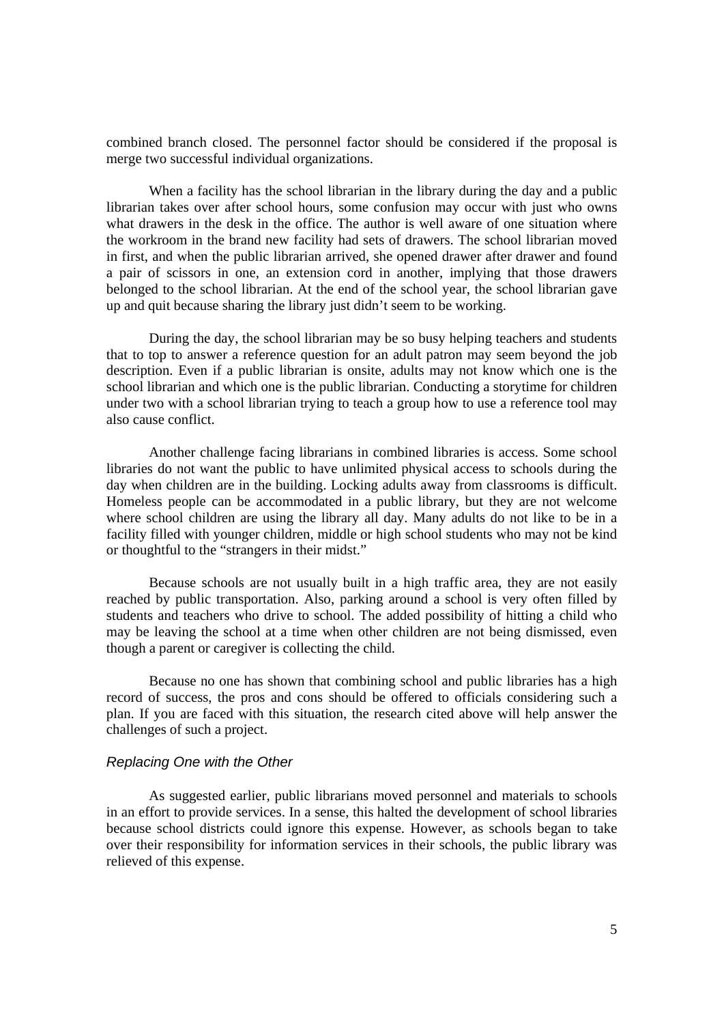combined branch closed. The personnel factor should be considered if the proposal is merge two successful individual organizations.

When a facility has the school librarian in the library during the day and a public librarian takes over after school hours, some confusion may occur with just who owns what drawers in the desk in the office. The author is well aware of one situation where the workroom in the brand new facility had sets of drawers. The school librarian moved in first, and when the public librarian arrived, she opened drawer after drawer and found a pair of scissors in one, an extension cord in another, implying that those drawers belonged to the school librarian. At the end of the school year, the school librarian gave up and quit because sharing the library just didn't seem to be working.

During the day, the school librarian may be so busy helping teachers and students that to top to answer a reference question for an adult patron may seem beyond the job description. Even if a public librarian is onsite, adults may not know which one is the school librarian and which one is the public librarian. Conducting a storytime for children under two with a school librarian trying to teach a group how to use a reference tool may also cause conflict.

Another challenge facing librarians in combined libraries is access. Some school libraries do not want the public to have unlimited physical access to schools during the day when children are in the building. Locking adults away from classrooms is difficult. Homeless people can be accommodated in a public library, but they are not welcome where school children are using the library all day. Many adults do not like to be in a facility filled with younger children, middle or high school students who may not be kind or thoughtful to the "strangers in their midst."

Because schools are not usually built in a high traffic area, they are not easily reached by public transportation. Also, parking around a school is very often filled by students and teachers who drive to school. The added possibility of hitting a child who may be leaving the school at a time when other children are not being dismissed, even though a parent or caregiver is collecting the child.

Because no one has shown that combining school and public libraries has a high record of success, the pros and cons should be offered to officials considering such a plan. If you are faced with this situation, the research cited above will help answer the challenges of such a project.

#### *Replacing One with the Other*

As suggested earlier, public librarians moved personnel and materials to schools in an effort to provide services. In a sense, this halted the development of school libraries because school districts could ignore this expense. However, as schools began to take over their responsibility for information services in their schools, the public library was relieved of this expense.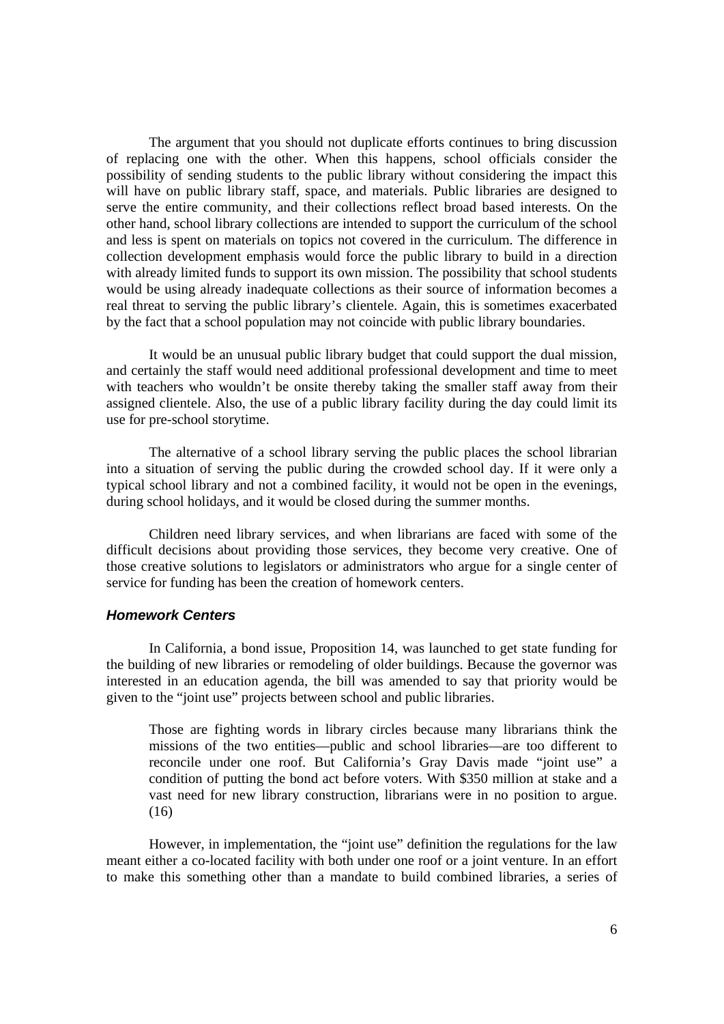The argument that you should not duplicate efforts continues to bring discussion of replacing one with the other. When this happens, school officials consider the possibility of sending students to the public library without considering the impact this will have on public library staff, space, and materials. Public libraries are designed to serve the entire community, and their collections reflect broad based interests. On the other hand, school library collections are intended to support the curriculum of the school and less is spent on materials on topics not covered in the curriculum. The difference in collection development emphasis would force the public library to build in a direction with already limited funds to support its own mission. The possibility that school students would be using already inadequate collections as their source of information becomes a real threat to serving the public library's clientele. Again, this is sometimes exacerbated by the fact that a school population may not coincide with public library boundaries.

 It would be an unusual public library budget that could support the dual mission, and certainly the staff would need additional professional development and time to meet with teachers who wouldn't be onsite thereby taking the smaller staff away from their assigned clientele. Also, the use of a public library facility during the day could limit its use for pre-school storytime.

 The alternative of a school library serving the public places the school librarian into a situation of serving the public during the crowded school day. If it were only a typical school library and not a combined facility, it would not be open in the evenings, during school holidays, and it would be closed during the summer months.

 Children need library services, and when librarians are faced with some of the difficult decisions about providing those services, they become very creative. One of those creative solutions to legislators or administrators who argue for a single center of service for funding has been the creation of homework centers.

# *Homework Centers*

In California, a bond issue, Proposition 14, was launched to get state funding for the building of new libraries or remodeling of older buildings. Because the governor was interested in an education agenda, the bill was amended to say that priority would be given to the "joint use" projects between school and public libraries.

Those are fighting words in library circles because many librarians think the missions of the two entities—public and school libraries—are too different to reconcile under one roof. But California's Gray Davis made "joint use" a condition of putting the bond act before voters. With \$350 million at stake and a vast need for new library construction, librarians were in no position to argue. (16)

 However, in implementation, the "joint use" definition the regulations for the law meant either a co-located facility with both under one roof or a joint venture. In an effort to make this something other than a mandate to build combined libraries, a series of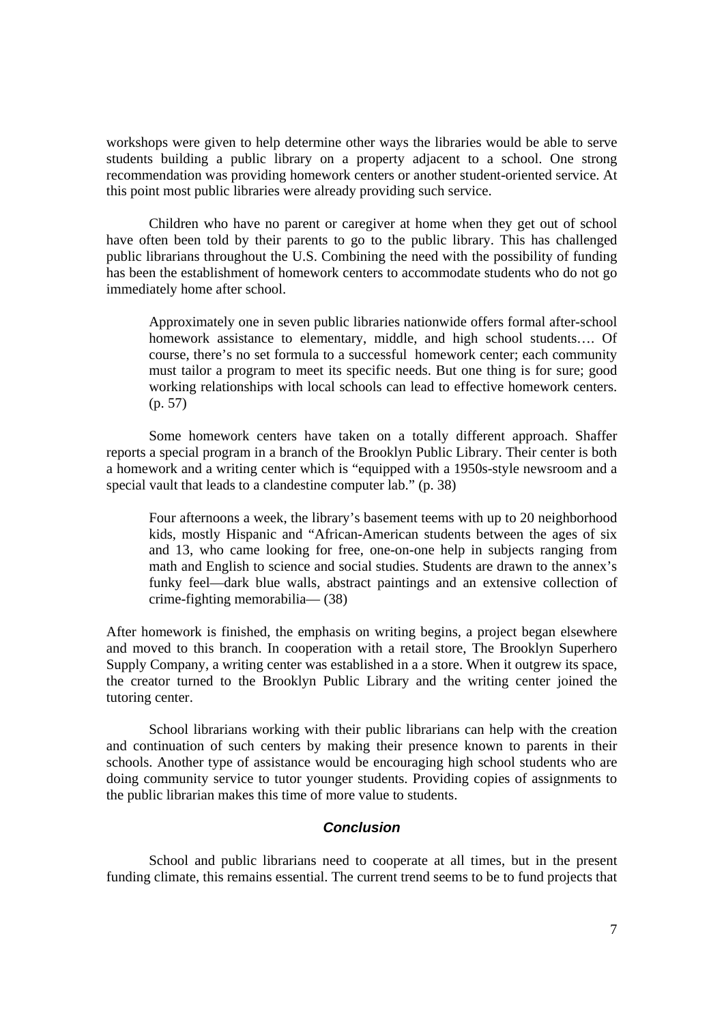workshops were given to help determine other ways the libraries would be able to serve students building a public library on a property adjacent to a school. One strong recommendation was providing homework centers or another student-oriented service. At this point most public libraries were already providing such service.

Children who have no parent or caregiver at home when they get out of school have often been told by their parents to go to the public library. This has challenged public librarians throughout the U.S. Combining the need with the possibility of funding has been the establishment of homework centers to accommodate students who do not go immediately home after school.

Approximately one in seven public libraries nationwide offers formal after-school homework assistance to elementary, middle, and high school students…. Of course, there's no set formula to a successful homework center; each community must tailor a program to meet its specific needs. But one thing is for sure; good working relationships with local schools can lead to effective homework centers. (p. 57)

Some homework centers have taken on a totally different approach. Shaffer reports a special program in a branch of the Brooklyn Public Library. Their center is both a homework and a writing center which is "equipped with a 1950s-style newsroom and a special vault that leads to a clandestine computer lab." (p. 38)

Four afternoons a week, the library's basement teems with up to 20 neighborhood kids, mostly Hispanic and "African-American students between the ages of six and 13, who came looking for free, one-on-one help in subjects ranging from math and English to science and social studies. Students are drawn to the annex's funky feel—dark blue walls, abstract paintings and an extensive collection of crime-fighting memorabilia— (38)

After homework is finished, the emphasis on writing begins, a project began elsewhere and moved to this branch. In cooperation with a retail store, The Brooklyn Superhero Supply Company, a writing center was established in a a store. When it outgrew its space, the creator turned to the Brooklyn Public Library and the writing center joined the tutoring center.

School librarians working with their public librarians can help with the creation and continuation of such centers by making their presence known to parents in their schools. Another type of assistance would be encouraging high school students who are doing community service to tutor younger students. Providing copies of assignments to the public librarian makes this time of more value to students.

# *Conclusion*

School and public librarians need to cooperate at all times, but in the present funding climate, this remains essential. The current trend seems to be to fund projects that